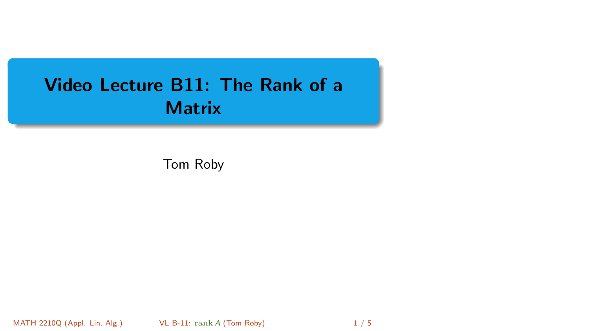# <span id="page-0-0"></span>Video Lecture B11: The Rank of a **Matrix**

Tom Roby

MATH 2210Q (Appl. Lin. Alg.) [VL B-11:](#page-4-0) rank A (Tom Roby) 1 / 5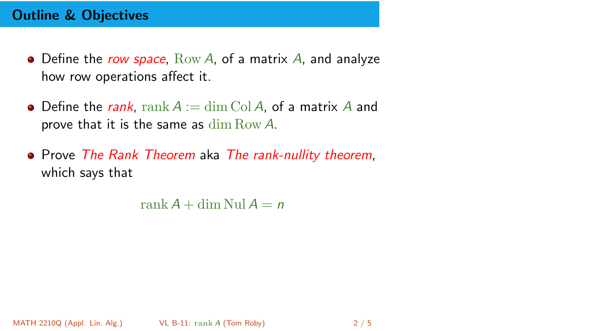# Outline & Objectives

- $\bullet$  Define the row space,  $Row\ A$ , of a matrix A, and analyze how row operations affect it.
- Define the rank, rank  $A := \dim \mathrm{Col } A$ , of a matrix A and prove that it is the same as dim Row A.
- Prove The Rank Theorem aka The rank-nullity theorem, which says that

rank  $A + \dim$  Nul  $A = n$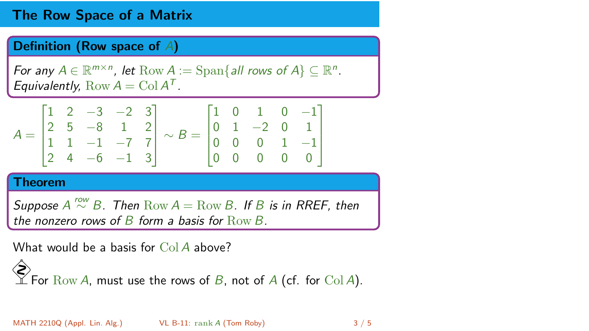## The Row Space of a Matrix

#### Definition (Row space of A)

For any  $A \in \mathbb{R}^{m \times n}$ , let  $\text{Row } A := \text{Span}\{all \text{ rows of } A\} \subseteq \mathbb{R}^n$ . Equivalently,  $Row A = Col A<sup>T</sup>$ .

$$
A = \begin{bmatrix} 1 & 2 & -3 & -2 & 3 \\ 2 & 5 & -8 & 1 & 2 \\ 1 & 1 & -1 & -7 & 7 \\ 2 & 4 & -6 & -1 & 3 \end{bmatrix} \sim B = \begin{bmatrix} 1 & 0 & 1 & 0 & -1 \\ 0 & 1 & -2 & 0 & 1 \\ 0 & 0 & 0 & 1 & -1 \\ 0 & 0 & 0 & 0 & 0 \end{bmatrix}
$$

#### Theorem

Suppose  $A \stackrel{row}{\sim} B$ . Then  $Row A = Row B$ . If B is in RREF, then the nonzero rows of  $B$  form a basis for  $Row B$ .

What would be a basis for  $Co<sub>1</sub>A$  above?

◈ For  $\mathrm{Row}\, A$ , must use the rows of  $B$ , not of  $A$  (cf. for  $\mathrm{Col}\, A$ ).

MATH 2210Q (Appl. Lin. Alg.) [VL B-11:](#page-0-0) rank A (Tom Roby) 3 / 5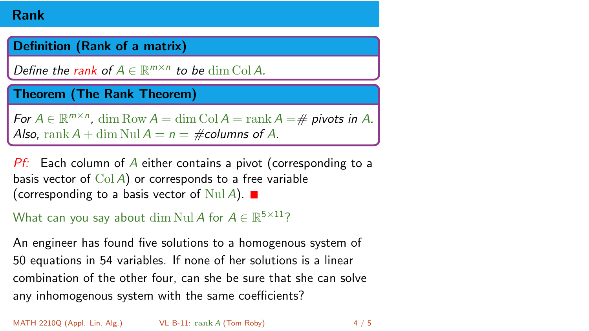### Rank

### Definition (Rank of a matrix)

Define the rank of  $A \in \mathbb{R}^{m \times n}$  to be  $\dim \mathrm{Col} A$ .

### Theorem (The Rank Theorem)

For  $A \in \mathbb{R}^{m \times n}$ , dim Row  $A = \dim \mathrm{Col } A = \mathrm{rank } A = \#$  pivots in A. Also, rank  $A + \dim \text{Nul } A = n = \text{\#columns of } A$ .

 $Pf$ : Each column of A either contains a pivot (corresponding to a basis vector of  $Col A$ ) or corresponds to a free variable (corresponding to a basis vector of  $\text{Nul } A$ ).

```
What can you say about \dim \mathrm{Nul}\, A for A \in \mathbb{R}^{5 \times 11}?
```
An engineer has found five solutions to a homogenous system of 50 equations in 54 variables. If none of her solutions is a linear combination of the other four, can she be sure that she can solve any inhomogenous system with the same coefficients?